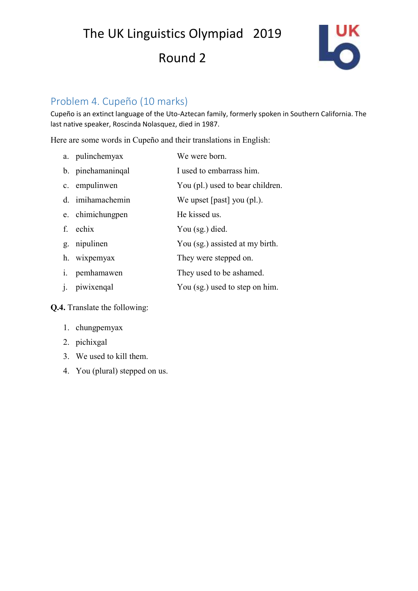The UK Linguistics Olympiad 2019

## Round 2



#### Problem 4. Cupeño (10 marks)

Cupeño is an extinct language of the Uto-Aztecan family, formerly spoken in Southern California. The last native speaker, Roscinda Nolasquez, died in 1987.

Here are some words in Cupeño and their translations in English:

| a. pulinchemyax   | We were born.                    |
|-------------------|----------------------------------|
| b. pinehamaninqal | I used to embarrass him.         |
| c. empulinwen     | You (pl.) used to bear children. |
| d. imihamachemin  | We upset $[past]$ you $(pl.)$ .  |
| e. chimichungpen  | He kissed us.                    |
| f. echix          | You (sg.) died.                  |
| g. nipulinen      | You (sg.) assisted at my birth.  |
| h. wixpemyax      | They were stepped on.            |
| i. pemhamawen     | They used to be ashamed.         |
|                   |                                  |

j. piwixenqal You (sg.) used to step on him.

#### **Q.4.** Translate the following:

- 1. chungpemyax
- 2. pichixgal
- 3. We used to kill them.
- 4. You (plural) stepped on us.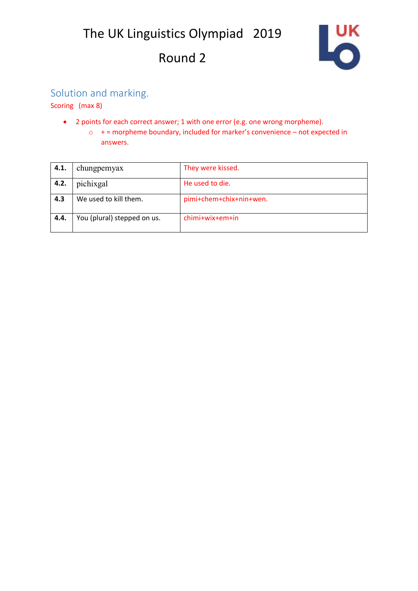# Round 2



### Solution and marking.

Scoring (max 8)

- 2 points for each correct answer; 1 with one error (e.g. one wrong morpheme).
	- o + = morpheme boundary, included for marker's convenience not expected in answers.

| 4.1. | chungpemyax                 | They were kissed.       |
|------|-----------------------------|-------------------------|
| 4.2. | pichixgal                   | He used to die.         |
| 4.3  | We used to kill them.       | pimi+chem+chix+nin+wen. |
| 4.4. | You (plural) stepped on us. | chimi+wix+em+in         |